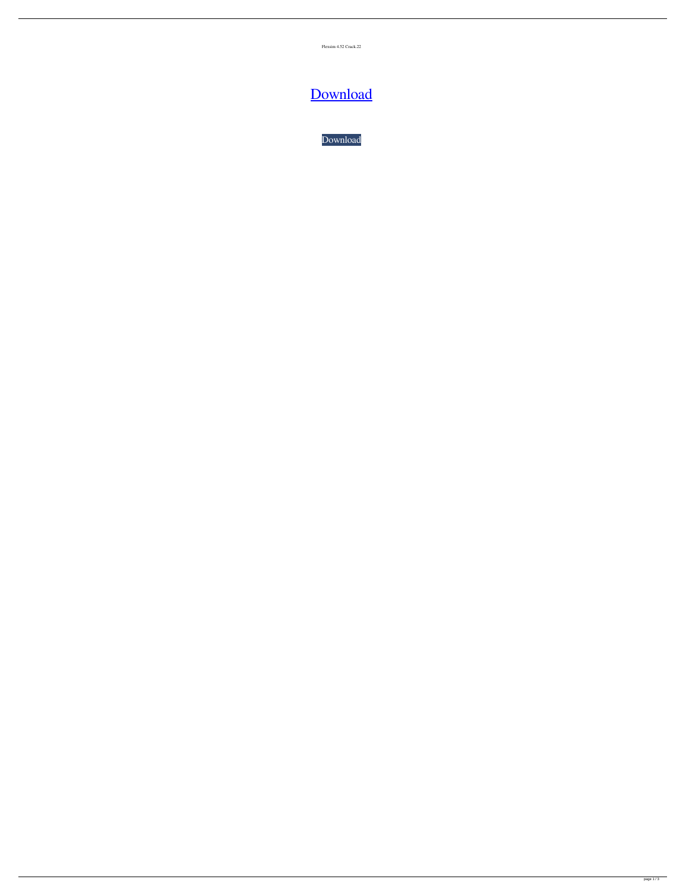Flexsim 4.52 Crack.22

## [Download](http://evacdir.com/ZmxleHNpbSA0LjUyIGNyYWNrLjIyZmx/slinky.ZG93bmxvYWR8c0I0YTJNMmZId3hOalV5TnpRd09EWTJmSHd5TlRjMGZId29UU2tnY21WaFpDMWliRzluSUZ0R1lYTjBJRWRGVGww/click.niklaus?rossum=eitan)

[Download](http://evacdir.com/ZmxleHNpbSA0LjUyIGNyYWNrLjIyZmx/slinky.ZG93bmxvYWR8c0I0YTJNMmZId3hOalV5TnpRd09EWTJmSHd5TlRjMGZId29UU2tnY21WaFpDMWliRzluSUZ0R1lYTjBJRWRGVGww/click.niklaus?rossum=eitan)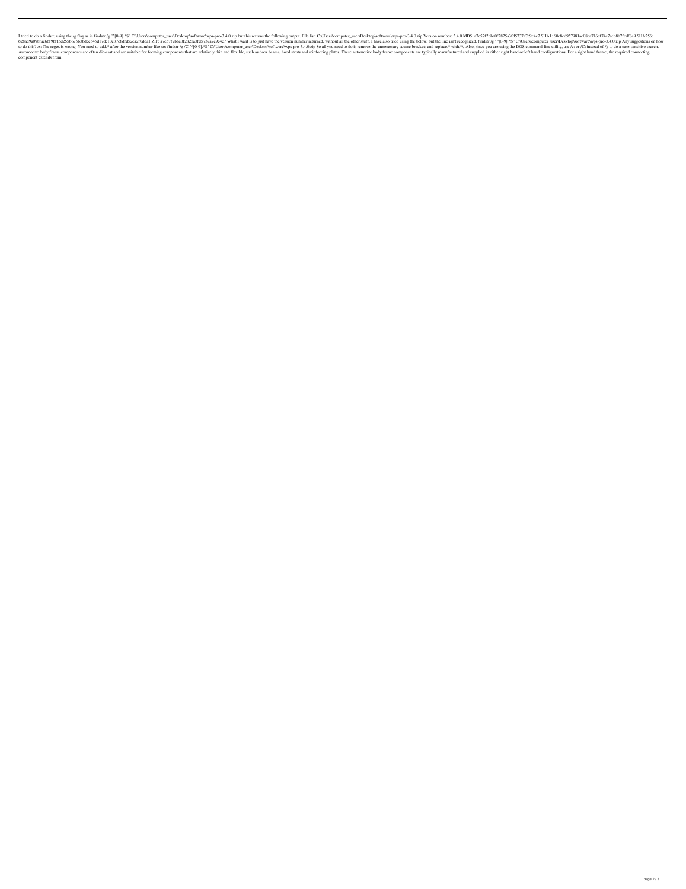I tried to do a findstr, using the /g flag as in findstr /g "^[0-9].\*\$" C:\Users\computer\_user\Desktop\software\wps-pro-3.4.0.zip but this returns the following output. File list: C:\Users\computer\_user\Desktop\software\wp 628ad9a098fac6bf9bff5d255b675b3bdccb45d17dc10c37e8dfd52ca2f0dda1 ZIP: a7e57f2bba0f2825a3fd5737a7c9c4c7 What I want is to just have the version number returned, without all the other stuff. I have also tried using the below to do this? A: The regex is wrong. You need to add.\* after the version number like so: findstr /g /C:"^[0-9].\*\$" C:\Users\computer\_user\Desktop\software\wps-pro-3.4.0.zip So all you need to do is remove the unnecessary squ Automotive body frame components are often die-cast and are suitable for forming components that are relatively thin and flexible, such as door beams, hood struts and reinforcing plates. These automotive body frame compone component extends from